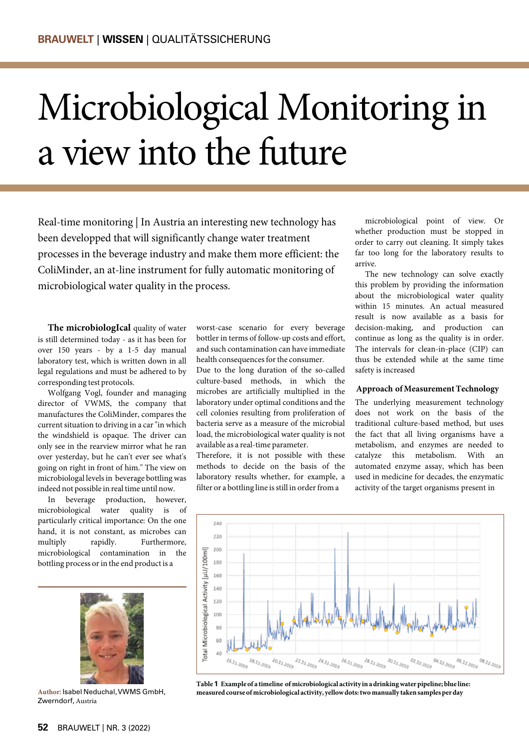# Microbiological Monitoring in a view into the future

Real-time monitoring | In Austria an interesting new technology has been developped that will significantly change water treatment processes in the beverage industry and make them more efficient: the ColiMinder, an at-line instrument for fully automatic monitoring of microbiological water quality in the process.

**The microbiologIcal** quality of water is still determined today - as it has been for over 150 years - by a 1-5 day manual laboratory test, which is written down in all legal regulations and must be adhered to by corresponding test protocols.

Wolfgang Vogl, founder and managing director of VWMS, the company that manufactures the ColiMinder, compares the current situation to driving in a car "in which the windshield is opaque. The driver can only see in the rearview mirror what he ran over yesterday, but he can't ever see what's going on right in front of him." The view on microbiologal levels in beverage bottling was indeed not possible in real time until now.

In beverage production, however, microbiological water quality is of particularly critical importance: On the one hand, it is not constant, as microbes can multiply rapidly. Furthermore, microbiological contamination in the bottling process or in the end product is a



**Author:** isabel neduchal, VwMs gmbh, Zwerndorf, Austria

worst-case scenario for every beverage bottler in terms of follow-up costs and effort, and such contamination can have immediate health consequences for the consumer.

Due to the long duration of the so-called culture-based methods, in which the microbes are artificially multiplied in the laboratory under optimal conditions and the cell colonies resulting from proliferation of bacteria serve as a measure of the microbial load, the microbiological water quality is not available as a real-time parameter.

Therefore, it is not possible with these methods to decide on the basis of the laboratory results whether, for example, a filter or a bottling line is still in order from a

microbiological point of view. Or whether production must be stopped in order to carry out cleaning. It simply takes far too long for the laboratory results to arrive.

The new technology can solve exactly this problem by providing the information about the microbiological water quality within 15 minutes. An actual measured result is now available as a basis for decision-making, and production can continue as long as the quality is in order. The intervals for clean-in-place (CIP) can thus be extended while at the same time safety is increased

### **Approach of Measurement Technology**

The underlying measurement technology does not work on the basis of the traditional culture-based method, but uses the fact that all living organisms have a metabolism, and enzymes are needed to catalyze this metabolism. With an automated enzyme assay, which has been used in medicine for decades, the enzymatic activity of the target organisms present in



**Table 1 Example of a timeline of microbiological activity in a drinking water pipeline; blue line: measured course of microbiological activity, yellow dots: two manually taken samples per day**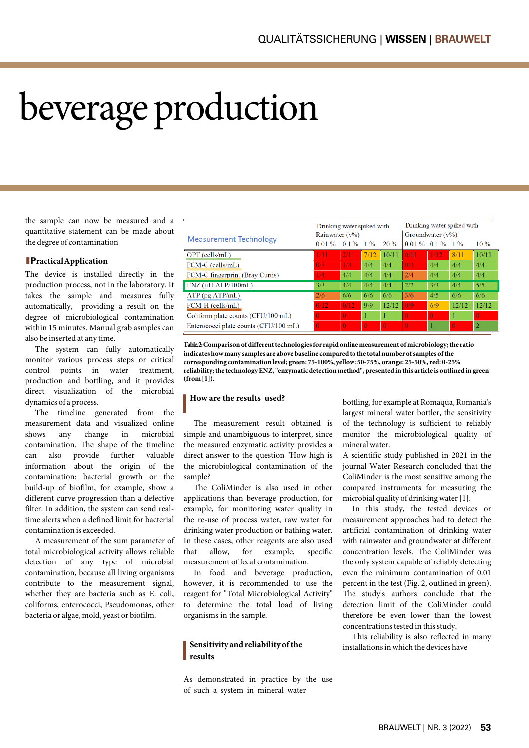# beverage production

the sample can now be measured and a quantitative statement can be made about the degree of contamination

## **lPractical Application**

The device is installed directly in the production process, not in the laboratory. It takes the sample and measures fully automatically, providing a result on the degree of microbiological contamination within 15 minutes. Manual grab asmples can also be inserted at any time.

The system can fully automatically monitor various process steps or critical control points in water treatment, production and bottling, and it provides direct visualization of the microbial dynamics of a process.

The timeline generated from the measurement data and visualized online shows any change in microbial contamination. The shape of the timeline can also provide further valuable information about the origin of the contamination: bacterial growth or the build-up of biofilm, for example, show a different curve progression than a defective filter. In addition, the system can send realtime alerts when a defined limit for bacterial contamination is exceeded.

A measurement of the sum parameter of total microbiological activity allows reliable detection of any type of microbial contamination, because all living organisms contribute to the measurement signal, whether they are bacteria such as E. coli, coliforms, enterococci, Pseudomonas, other bacteria or algae, mold, yeast or biofilm.

| <b>Measurement Technology</b>         | Drinking water spiked with<br>Rainwater $(v\%)$ |          |       | Drinking water spiked with<br>Groundwater $(v\%)$ |                  |          |          |          |
|---------------------------------------|-------------------------------------------------|----------|-------|---------------------------------------------------|------------------|----------|----------|----------|
|                                       | 0.01%                                           | $0.1\%$  | $1\%$ | 20%                                               | $0.01\%$ 0.1% 1% |          |          | $10\%$   |
| $OPT$ (cells/mL)                      | 1/11                                            | 2/1      | 7/12  | 10/11                                             | 0/11             | 1/12     | 8/11     | 10/11    |
| FCM-C (cells/mL)                      | 0/3                                             | 1/4      | 4/4   | 4/4                                               | 0/4              | 4/4      | 4/4      | 4/4      |
| FCM-C fingerprint (Bray Curtis)       | 1/4                                             | 4/4      | 4/4   | 4/4                                               | 2/4              | 4/4      | 4/4      | 4/4      |
| $ENZ$ ( $\mu$ U ALP/100mL)            | 3/3                                             | 4/4      | 4/4   | 4/4                                               | 2/2              | 3/3      | 4/4      | 5/5      |
| $ATP$ (pg $ATP/mL$ )                  | 2/6                                             | 6/6      | 6/6   | 6/6                                               | 3/6              | 4/5      | 6/6      | 6/6      |
| FCM-H (cells/mL)                      | 0/12                                            | 0/12     | 9/9   | 12/12                                             | 0/9              | 6/9      | 12/12    | 12/12    |
| Coliform plate counts (CFU/100 mL)    | 0                                               | 0        |       | 1                                                 |                  | $\Omega$ |          | $\Omega$ |
| Enterococci plate counts (CFU/100 mL) | $\Omega$                                        | $\Omega$ |       | $\Omega$                                          | $\Omega$         |          | $\Omega$ | 2        |

**Table. 2: Comparison of different technologies for rapid online measurement of microbiology; the ratio indicates how many samples are above baseline compared to the total number of samples of the corresponding contamination level; green: 75-100%, yellow: 50-75%, orange: 25-50%, red: 0-25% reliability; the technology ENZ, "enzymatic detection method", presented in this article is outlined in green (from [1]).**

## l **How are the results used?**

The measurement result obtained is simple and unambiguous to interpret, since the measured enzymatic activity provides a direct answer to the question "How high is the microbiological contamination of the sample?

The ColiMinder is also used in other applications than beverage production, for example, for monitoring water quality in the re-use of process water, raw water for drinking water production or bathing water. In these cases, other reagents are also used that allow, for example, specific measurement of fecal contamination.

In food and beverage production, however, it is recommended to use the reagent for "Total Microbiological Activity" to determine the total load of living organisms in the sample.

## l **Sensitivity and reliability of the results**

As demonstrated in practice by the use of such a system in mineral water

bottling, for example at Romaqua, Romania's largest mineral water bottler, the sensitivity of the technology is sufficient to reliably monitor the microbiological quality of mineral water.

A scientific study published in 2021 in the journal Water Research concluded that the ColiMinder is the most sensitive among the compared instruments for measuring the microbial quality of drinking water [1].

In this study, the tested devices or measurement approaches had to detect the artificial contamination of drinking water with rainwater and groundwater at different concentration levels. The ColiMinder was the only system capable of reliably detecting even the minimum contamination of 0.01 percent in the test (Fig. 2, outlined in green). The study's authors conclude that the detection limit of the ColiMinder could therefore be even lower than the lowest concentrations tested in this study.

This reliability is also reflected in many installations in which the devices have